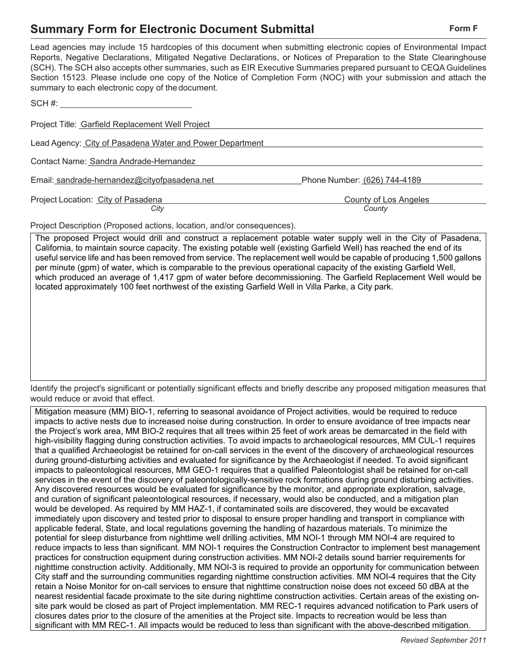## **Summary Form for Electronic Document Submittal Form Form Form F**

| Lead agencies may include 15 hardcopies of this document when submitting electronic copies of Environmental Impact    |
|-----------------------------------------------------------------------------------------------------------------------|
| Reports, Negative Declarations, Mitigated Negative Declarations, or Notices of Preparation to the State Clearinghouse |
| (SCH). The SCH also accepts other summaries, such as EIR Executive Summaries prepared pursuant to CEQA Guidelines     |
| Section 15123. Please include one copy of the Notice of Completion Form (NOC) with your submission and attach the     |
| summary to each electronic copy of the document.                                                                      |

| SCH#:                                                    |                                 |
|----------------------------------------------------------|---------------------------------|
| Project Title: Garfield Replacement Well Project         |                                 |
| Lead Agency: City of Pasadena Water and Power Department |                                 |
| Contact Name: Sandra Andrade-Hernandez                   |                                 |
| Email: sandrade-hernandez@cityofpasadena.net             | Phone Number: (626) 744-4189    |
| Project Location: City of Pasadena<br>City               | County of Los Angeles<br>County |

Project Description (Proposed actions, location, and/or consequences).

The proposed Project would drill and construct a replacement potable water supply well in the City of Pasadena, California, to maintain source capacity. The existing potable well (existing Garfield Well) has reached the end of its useful service life and has been removed from service. The replacement well would be capable of producing 1,500 gallons per minute (gpm) of water, which is comparable to the previous operational capacity of the existing Garfield Well, which produced an average of 1,417 gpm of water before decommissioning. The Garfield Replacement Well would be located approximately 100 feet northwest of the existing Garfield Well in Villa Parke, a City park.

Identify the project's significant or potentially significant effects and briefly describe any proposed mitigation measures that would reduce or avoid that effect.

Mitigation measure (MM) BIO-1, referring to seasonal avoidance of Project activities, would be required to reduce impacts to active nests due to increased noise during construction. In order to ensure avoidance of tree impacts near the Project's work area, MM BIO-2 requires that all trees within 25 feet of work areas be demarcated in the field with high-visibility flagging during construction activities. To avoid impacts to archaeological resources, MM CUL-1 requires that a qualified Archaeologist be retained for on-call services in the event of the discovery of archaeological resources during ground-disturbing activities and evaluated for significance by the Archaeologist if needed. To avoid significant impacts to paleontological resources, MM GEO-1 requires that a qualified Paleontologist shall be retained for on-call services in the event of the discovery of paleontologically-sensitive rock formations during ground disturbing activities. Any discovered resources would be evaluated for significance by the monitor, and appropriate exploration, salvage, and curation of significant paleontological resources, if necessary, would also be conducted, and a mitigation plan would be developed. As required by MM HAZ-1, if contaminated soils are discovered, they would be excavated immediately upon discovery and tested prior to disposal to ensure proper handling and transport in compliance with applicable federal, State, and local regulations governing the handling of hazardous materials. To minimize the potential for sleep disturbance from nighttime well drilling activities, MM NOI-1 through MM NOI-4 are required to reduce impacts to less than significant. MM NOI-1 requires the Construction Contractor to implement best management practices for construction equipment during construction activities. MM NOI-2 details sound barrier requirements for nighttime construction activity. Additionally, MM NOI-3 is required to provide an opportunity for communication between City staff and the surrounding communities regarding nighttime construction activities. MM NOI-4 requires that the City retain a Noise Monitor for on-call services to ensure that nighttime construction noise does not exceed 50 dBA at the nearest residential facade proximate to the site during nighttime construction activities. Certain areas of the existing onsite park would be closed as part of Project implementation. MM REC-1 requires advanced notification to Park users of closures dates prior to the closure of the amenities at the Project site. Impacts to recreation would be less than significant with MM REC-1. All impacts would be reduced to less than significant with the above-described mitigation.